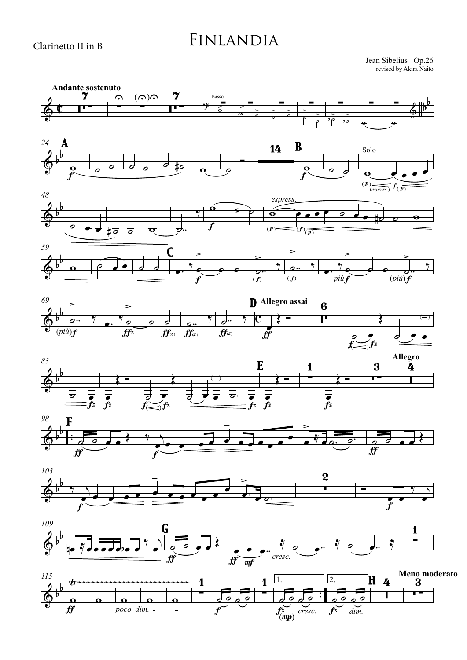## Finlandia

revised by Akira Naito Jean Sibelius Op.26

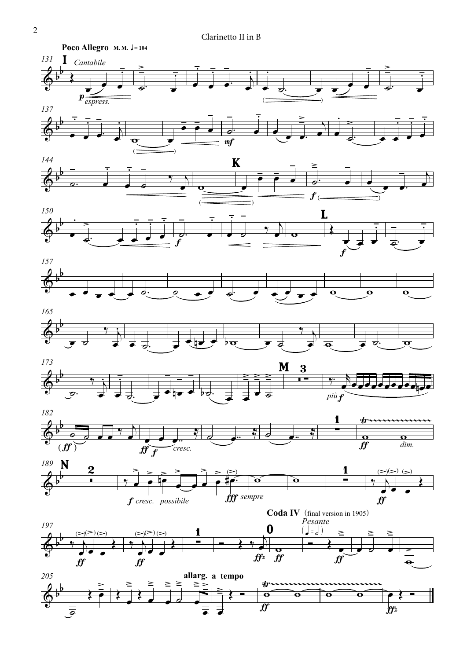